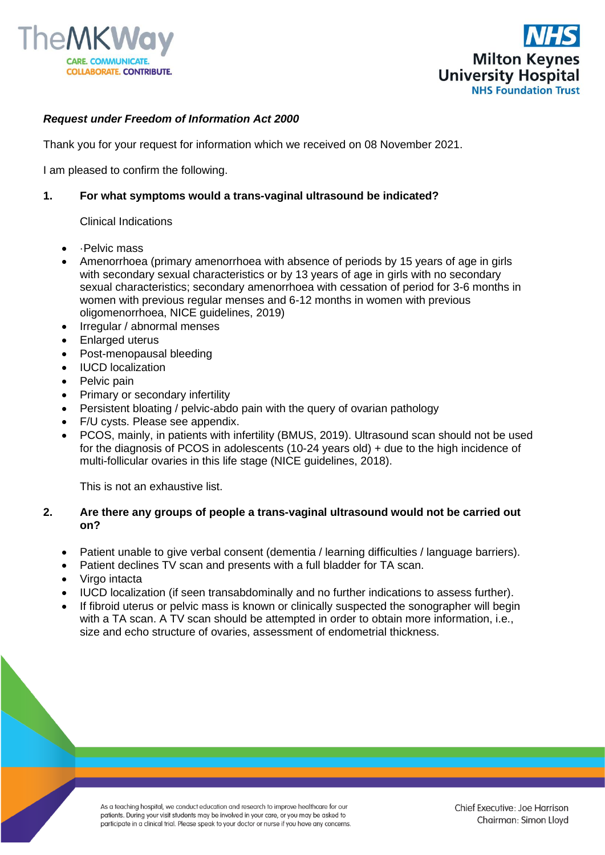



# *Request under Freedom of Information Act 2000*

Thank you for your request for information which we received on 08 November 2021.

I am pleased to confirm the following.

#### **1. For what symptoms would a trans-vaginal ultrasound be indicated?**

#### Clinical Indications

- ·Pelvic mass
- Amenorrhoea (primary amenorrhoea with absence of periods by 15 years of age in girls with secondary sexual characteristics or by 13 years of age in girls with no secondary sexual characteristics; secondary amenorrhoea with cessation of period for 3-6 months in women with previous regular menses and 6-12 months in women with previous oligomenorrhoea, NICE guidelines, 2019)
- Irregular / abnormal menses
- Enlarged uterus
- Post-menopausal bleeding
- IUCD localization
- Pelvic pain
- Primary or secondary infertility
- Persistent bloating / pelvic-abdo pain with the query of ovarian pathology
- F/U cysts. Please see appendix.
- PCOS, mainly, in patients with infertility (BMUS, 2019). Ultrasound scan should not be used for the diagnosis of PCOS in adolescents (10-24 years old) + due to the high incidence of multi-follicular ovaries in this life stage (NICE guidelines, 2018).

This is not an exhaustive list.

### **2. Are there any groups of people a trans-vaginal ultrasound would not be carried out on?**

- Patient unable to give verbal consent (dementia / learning difficulties / language barriers).
- Patient declines TV scan and presents with a full bladder for TA scan.
- Virgo intacta
- IUCD localization (if seen transabdominally and no further indications to assess further).
- If fibroid uterus or pelvic mass is known or clinically suspected the sonographer will begin with a TA scan. A TV scan should be attempted in order to obtain more information, i.e., size and echo structure of ovaries, assessment of endometrial thickness.

As a teaching hospital, we conduct education and research to improve healthcare for our patients. During your visit students may be involved in your care, or you may be asked to participate in a clinical trial. Please speak to your doctor or nurse if you have any concerns.